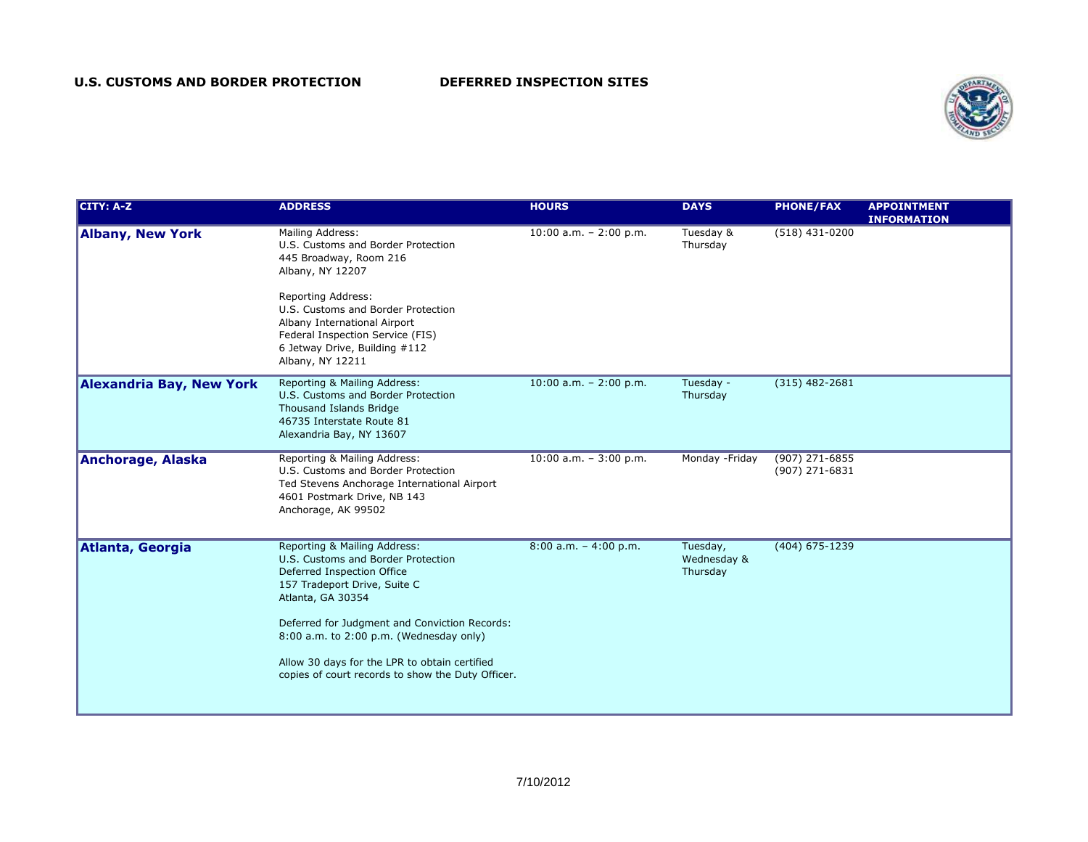

| <b>CITY: A-Z</b>                | <b>ADDRESS</b>                                                                                                                                                                                                                                                                                                                                          | <b>HOURS</b>             | <b>DAYS</b>                         | <b>PHONE/FAX</b>                   | <b>APPOINTMENT</b><br><b>INFORMATION</b> |
|---------------------------------|---------------------------------------------------------------------------------------------------------------------------------------------------------------------------------------------------------------------------------------------------------------------------------------------------------------------------------------------------------|--------------------------|-------------------------------------|------------------------------------|------------------------------------------|
| <b>Albany, New York</b>         | Mailing Address:<br>U.S. Customs and Border Protection<br>445 Broadway, Room 216<br>Albany, NY 12207                                                                                                                                                                                                                                                    | 10:00 a.m. $- 2:00$ p.m. | Tuesday &<br>Thursday               | $(518)$ 431-0200                   |                                          |
|                                 | <b>Reporting Address:</b><br>U.S. Customs and Border Protection<br>Albany International Airport<br>Federal Inspection Service (FIS)<br>6 Jetway Drive, Building #112<br>Albany, NY 12211                                                                                                                                                                |                          |                                     |                                    |                                          |
| <b>Alexandria Bay, New York</b> | Reporting & Mailing Address:<br>U.S. Customs and Border Protection<br>Thousand Islands Bridge<br>46735 Interstate Route 81<br>Alexandria Bay, NY 13607                                                                                                                                                                                                  | 10:00 a.m. $- 2:00$ p.m. | Tuesday -<br>Thursday               | $(315)$ 482-2681                   |                                          |
| <b>Anchorage, Alaska</b>        | Reporting & Mailing Address:<br>U.S. Customs and Border Protection<br>Ted Stevens Anchorage International Airport<br>4601 Postmark Drive, NB 143<br>Anchorage, AK 99502                                                                                                                                                                                 | 10:00 a.m. $-3:00$ p.m.  | Monday - Friday                     | $(907)$ 271-6855<br>(907) 271-6831 |                                          |
| Atlanta, Georgia                | Reporting & Mailing Address:<br>U.S. Customs and Border Protection<br>Deferred Inspection Office<br>157 Tradeport Drive, Suite C<br>Atlanta, GA 30354<br>Deferred for Judgment and Conviction Records:<br>8:00 a.m. to 2:00 p.m. (Wednesday only)<br>Allow 30 days for the LPR to obtain certified<br>copies of court records to show the Duty Officer. | $8:00$ a.m. $-4:00$ p.m. | Tuesday,<br>Wednesday &<br>Thursday | $(404)$ 675-1239                   |                                          |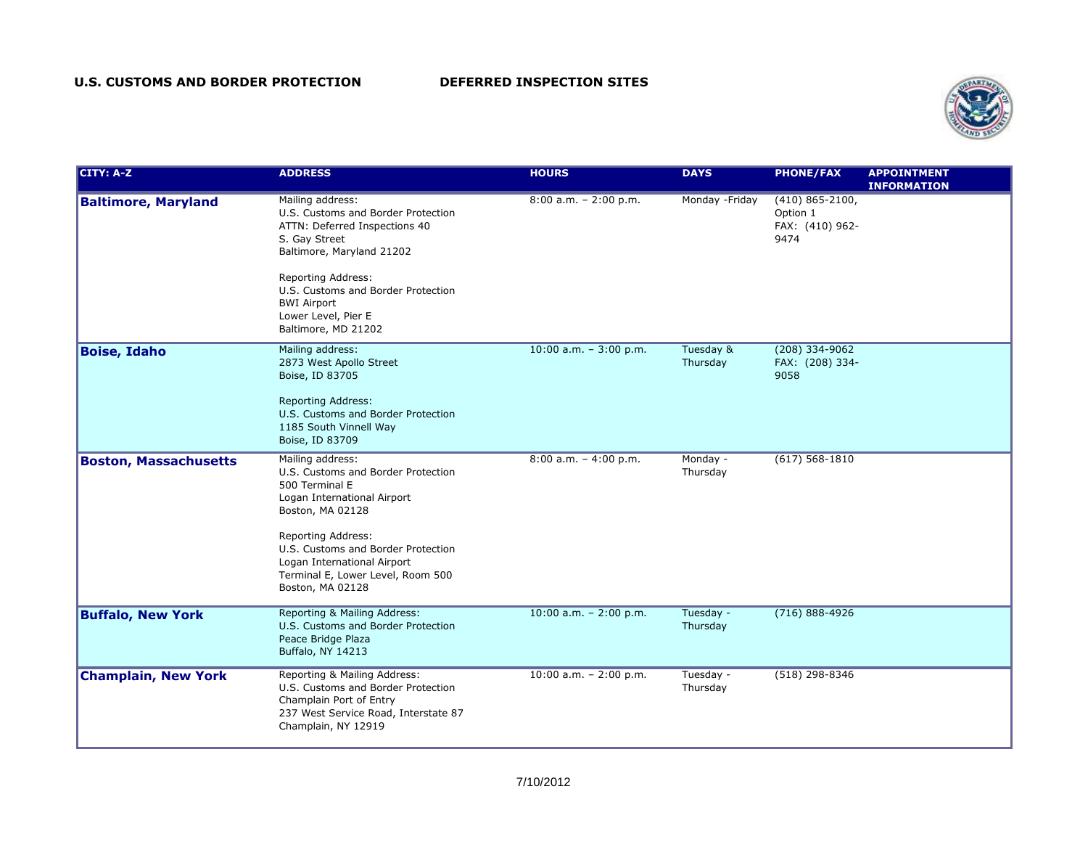

| <b>CITY: A-Z</b>             | <b>ADDRESS</b>                                                                                                                                                                                                                                                                         | <b>HOURS</b>               | <b>DAYS</b>           | <b>PHONE/FAX</b>                                           | <b>APPOINTMENT</b><br><b>INFORMATION</b> |
|------------------------------|----------------------------------------------------------------------------------------------------------------------------------------------------------------------------------------------------------------------------------------------------------------------------------------|----------------------------|-----------------------|------------------------------------------------------------|------------------------------------------|
| <b>Baltimore, Maryland</b>   | Mailing address:<br>U.S. Customs and Border Protection<br>ATTN: Deferred Inspections 40<br>S. Gay Street<br>Baltimore, Maryland 21202                                                                                                                                                  | $8:00$ a.m. $-2:00$ p.m.   | Monday - Friday       | $(410) 865 - 2100,$<br>Option 1<br>FAX: (410) 962-<br>9474 |                                          |
|                              | <b>Reporting Address:</b><br>U.S. Customs and Border Protection<br><b>BWI Airport</b><br>Lower Level, Pier E<br>Baltimore, MD 21202                                                                                                                                                    |                            |                       |                                                            |                                          |
| <b>Boise, Idaho</b>          | Mailing address:<br>2873 West Apollo Street<br>Boise, ID 83705<br><b>Reporting Address:</b><br>U.S. Customs and Border Protection<br>1185 South Vinnell Way<br>Boise, ID 83709                                                                                                         | 10:00 a.m. $-3:00$ p.m.    | Tuesday &<br>Thursday | (208) 334-9062<br>FAX: (208) 334-<br>9058                  |                                          |
| <b>Boston, Massachusetts</b> | Mailing address:<br>U.S. Customs and Border Protection<br>500 Terminal E<br>Logan International Airport<br>Boston, MA 02128<br><b>Reporting Address:</b><br>U.S. Customs and Border Protection<br>Logan International Airport<br>Terminal E, Lower Level, Room 500<br>Boston, MA 02128 | $8:00$ a.m. $-4:00$ p.m.   | Monday -<br>Thursday  | $(617) 568 - 1810$                                         |                                          |
| <b>Buffalo, New York</b>     | Reporting & Mailing Address:<br>U.S. Customs and Border Protection<br>Peace Bridge Plaza<br>Buffalo, NY 14213                                                                                                                                                                          | $10:00$ a.m. $- 2:00$ p.m. | Tuesday -<br>Thursday | $(716) 888 - 4926$                                         |                                          |
| <b>Champlain, New York</b>   | Reporting & Mailing Address:<br>U.S. Customs and Border Protection<br>Champlain Port of Entry<br>237 West Service Road, Interstate 87<br>Champlain, NY 12919                                                                                                                           | 10:00 a.m. $- 2:00$ p.m.   | Tuesday -<br>Thursday | $(518)$ 298-8346                                           |                                          |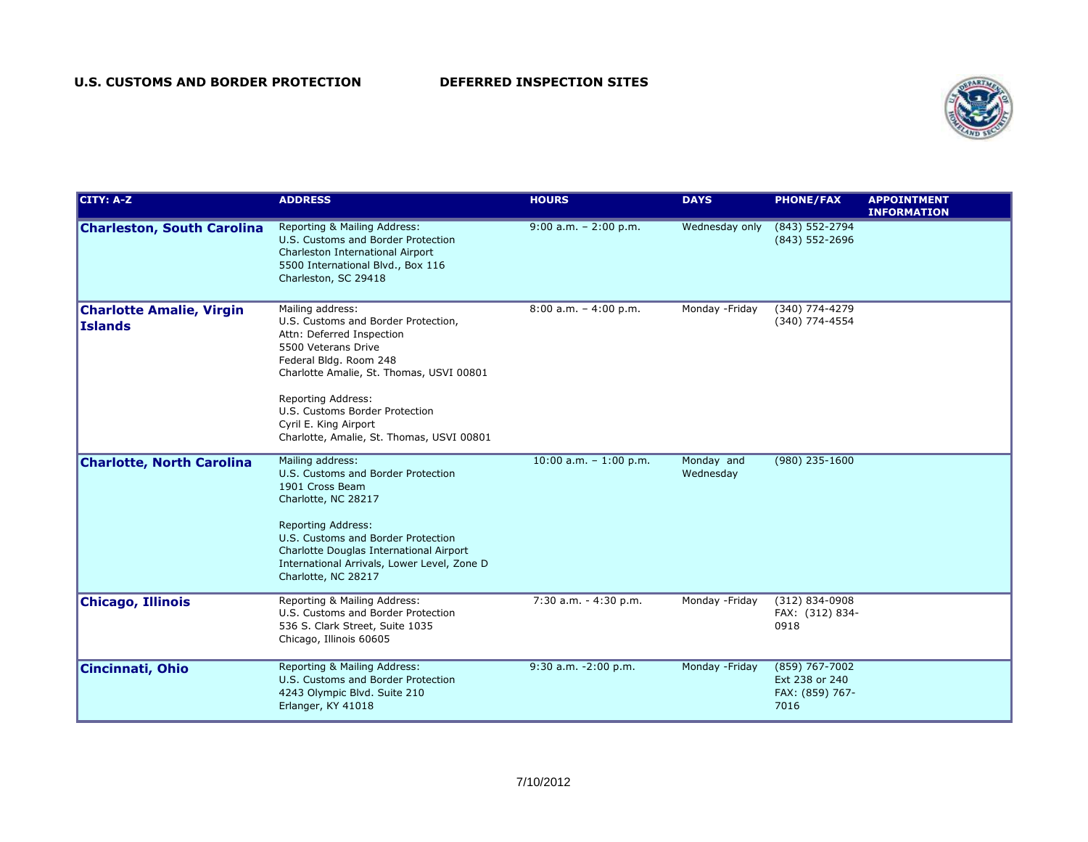

| <b>CITY: A-Z</b>                                  | <b>ADDRESS</b>                                                                                                                                                                                                                                                                                                         | <b>HOURS</b>             | <b>DAYS</b>             | <b>PHONE/FAX</b>                                            | <b>APPOINTMENT</b><br><b>INFORMATION</b> |
|---------------------------------------------------|------------------------------------------------------------------------------------------------------------------------------------------------------------------------------------------------------------------------------------------------------------------------------------------------------------------------|--------------------------|-------------------------|-------------------------------------------------------------|------------------------------------------|
| <b>Charleston, South Carolina</b>                 | Reporting & Mailing Address:<br>U.S. Customs and Border Protection<br>Charleston International Airport<br>5500 International Blvd., Box 116<br>Charleston, SC 29418                                                                                                                                                    | $9:00$ a.m. - 2:00 p.m.  | Wednesday only          | (843) 552-2794<br>(843) 552-2696                            |                                          |
| <b>Charlotte Amalie, Virgin</b><br><b>Islands</b> | Mailing address:<br>U.S. Customs and Border Protection,<br>Attn: Deferred Inspection<br>5500 Veterans Drive<br>Federal Bldg. Room 248<br>Charlotte Amalie, St. Thomas, USVI 00801<br><b>Reporting Address:</b><br>U.S. Customs Border Protection<br>Cyril E. King Airport<br>Charlotte, Amalie, St. Thomas, USVI 00801 | $8:00$ a.m. $-4:00$ p.m. | Monday - Friday         | (340) 774-4279<br>(340) 774-4554                            |                                          |
| <b>Charlotte, North Carolina</b>                  | Mailing address:<br>U.S. Customs and Border Protection<br>1901 Cross Beam<br>Charlotte, NC 28217<br><b>Reporting Address:</b><br>U.S. Customs and Border Protection<br>Charlotte Douglas International Airport<br>International Arrivals, Lower Level, Zone D<br>Charlotte, NC 28217                                   | 10:00 a.m. $-1:00$ p.m.  | Monday and<br>Wednesday | $(980)$ 235-1600                                            |                                          |
| <b>Chicago, Illinois</b>                          | Reporting & Mailing Address:<br>U.S. Customs and Border Protection<br>536 S. Clark Street, Suite 1035<br>Chicago, Illinois 60605                                                                                                                                                                                       | 7:30 a.m. - 4:30 p.m.    | Monday - Friday         | $(312) 834 - 0908$<br>FAX: (312) 834-<br>0918               |                                          |
| Cincinnati, Ohio                                  | Reporting & Mailing Address:<br>U.S. Customs and Border Protection<br>4243 Olympic Blvd. Suite 210<br>Erlanger, KY 41018                                                                                                                                                                                               | 9:30 a.m. -2:00 p.m.     | Monday - Friday         | (859) 767-7002<br>Ext 238 or 240<br>FAX: (859) 767-<br>7016 |                                          |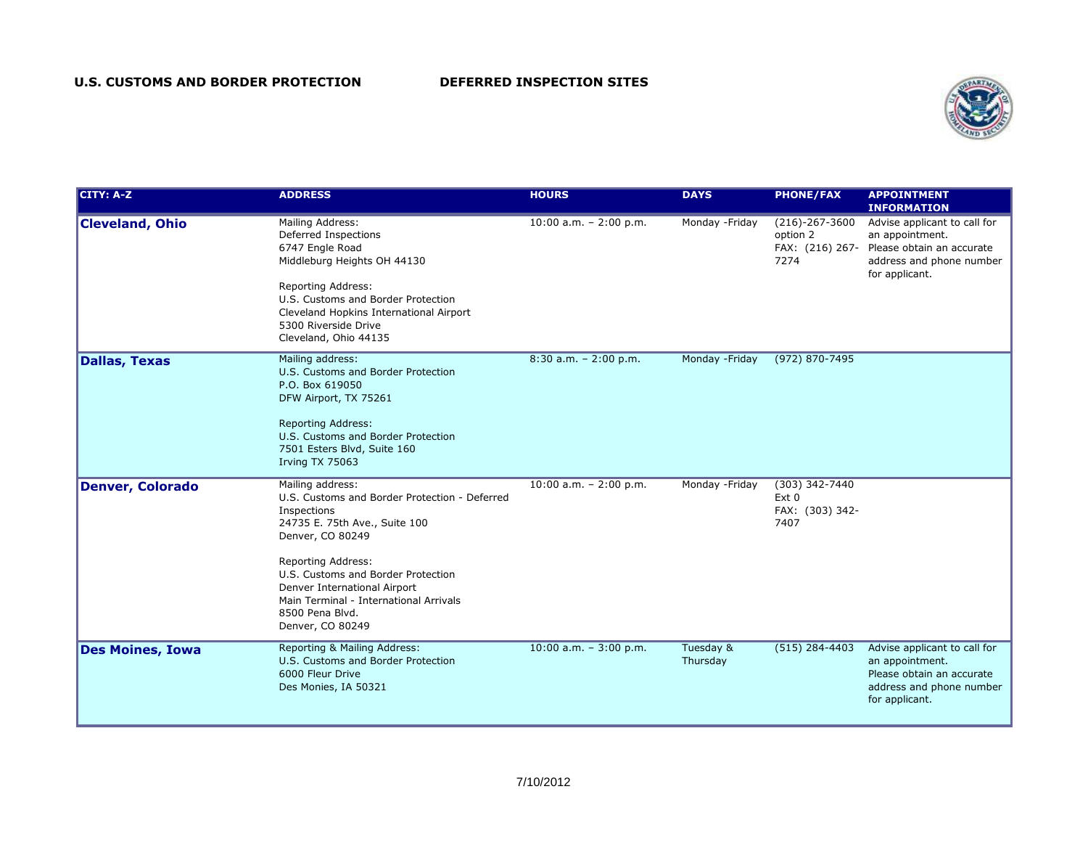

| <b>CITY: A-Z</b>        | <b>ADDRESS</b>                                                                                                                                                                                                                                                                                                     | <b>HOURS</b>             | <b>DAYS</b>           | <b>PHONE/FAX</b>                                        | <b>APPOINTMENT</b><br><b>INFORMATION</b>                                                                                   |
|-------------------------|--------------------------------------------------------------------------------------------------------------------------------------------------------------------------------------------------------------------------------------------------------------------------------------------------------------------|--------------------------|-----------------------|---------------------------------------------------------|----------------------------------------------------------------------------------------------------------------------------|
| <b>Cleveland, Ohio</b>  | Mailing Address:<br>Deferred Inspections<br>6747 Engle Road<br>Middleburg Heights OH 44130<br>Reporting Address:<br>U.S. Customs and Border Protection<br>Cleveland Hopkins International Airport<br>5300 Riverside Drive<br>Cleveland, Ohio 44135                                                                 | $10:00 a.m. - 2:00 p.m.$ | Monday - Friday       | $(216)-267-3600$<br>option 2<br>FAX: (216) 267-<br>7274 | Advise applicant to call for<br>an appointment.<br>Please obtain an accurate<br>address and phone number<br>for applicant. |
| <b>Dallas, Texas</b>    | Mailing address:<br>U.S. Customs and Border Protection<br>P.O. Box 619050<br>DFW Airport, TX 75261<br><b>Reporting Address:</b><br>U.S. Customs and Border Protection<br>7501 Esters Blvd, Suite 160<br>Irving TX 75063                                                                                            | $8:30$ a.m. - 2:00 p.m.  | Monday - Friday       | (972) 870-7495                                          |                                                                                                                            |
| <b>Denver, Colorado</b> | Mailing address:<br>U.S. Customs and Border Protection - Deferred<br>Inspections<br>24735 E. 75th Ave., Suite 100<br>Denver, CO 80249<br>Reporting Address:<br>U.S. Customs and Border Protection<br>Denver International Airport<br>Main Terminal - International Arrivals<br>8500 Pena Blvd.<br>Denver, CO 80249 | 10:00 a.m. $- 2:00$ p.m. | Monday - Friday       | $(303)$ 342-7440<br>Ext 0<br>FAX: (303) 342-<br>7407    |                                                                                                                            |
| <b>Des Moines, Iowa</b> | Reporting & Mailing Address:<br>U.S. Customs and Border Protection<br>6000 Fleur Drive<br>Des Monies, IA 50321                                                                                                                                                                                                     | 10:00 a.m. $-3:00$ p.m.  | Tuesday &<br>Thursday | $(515)$ 284-4403                                        | Advise applicant to call for<br>an appointment.<br>Please obtain an accurate<br>address and phone number<br>for applicant. |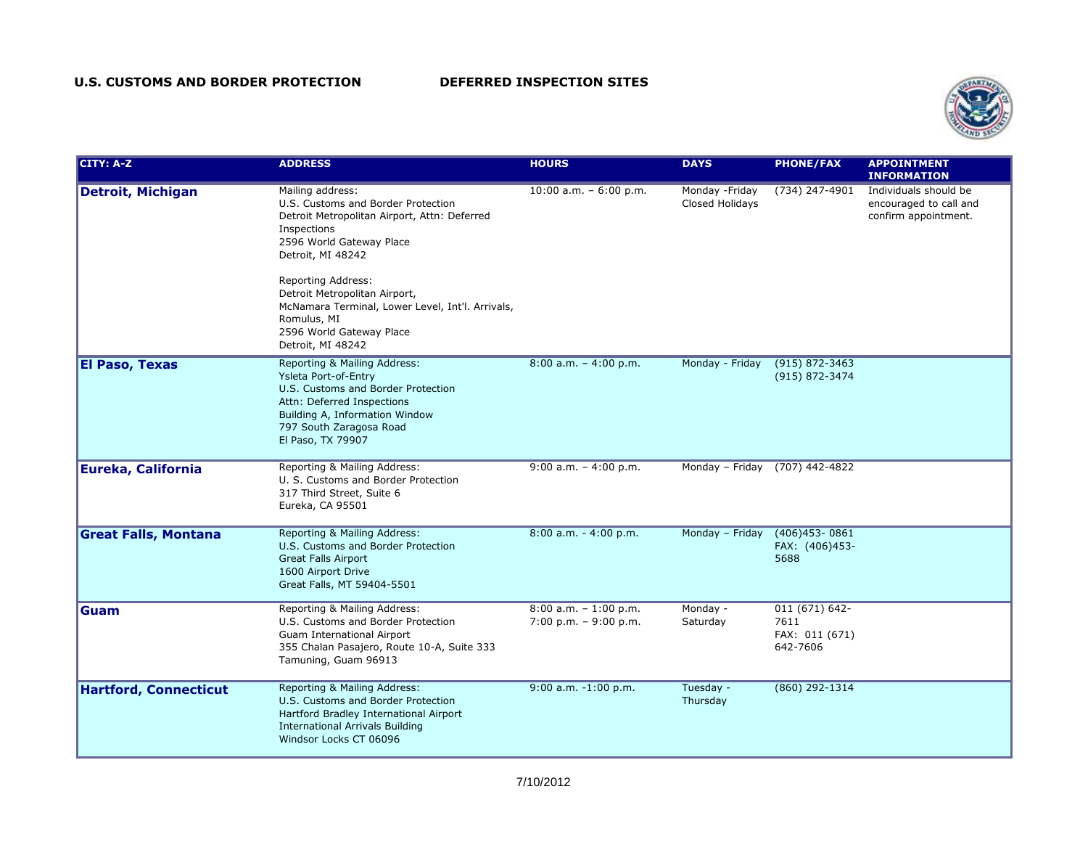

| <b>CITY: A-Z</b>             | <b>ADDRESS</b>                                                                                                                                                                                             | <b>HOURS</b>                                        | <b>DAYS</b>                        | <b>PHONE/FAX</b>                                     | <b>APPOINTMENT</b><br><b>INFORMATION</b>                                |
|------------------------------|------------------------------------------------------------------------------------------------------------------------------------------------------------------------------------------------------------|-----------------------------------------------------|------------------------------------|------------------------------------------------------|-------------------------------------------------------------------------|
| <b>Detroit, Michigan</b>     | Mailing address:<br>U.S. Customs and Border Protection<br>Detroit Metropolitan Airport, Attn: Deferred<br>Inspections<br>2596 World Gateway Place<br>Detroit, MI 48242                                     | 10:00 a.m. $-6:00$ p.m.                             | Monday - Friday<br>Closed Holidays | (734) 247-4901                                       | Individuals should be<br>encouraged to call and<br>confirm appointment. |
|                              | <b>Reporting Address:</b><br>Detroit Metropolitan Airport,<br>McNamara Terminal, Lower Level, Int'l. Arrivals,<br>Romulus, MI<br>2596 World Gateway Place<br>Detroit, MI 48242                             |                                                     |                                    |                                                      |                                                                         |
| <b>El Paso, Texas</b>        | Reporting & Mailing Address:<br>Ysleta Port-of-Entry<br>U.S. Customs and Border Protection<br>Attn: Deferred Inspections<br>Building A, Information Window<br>797 South Zaragosa Road<br>El Paso, TX 79907 | $8:00$ a.m. $-4:00$ p.m.                            | Monday - Friday                    | $(915) 872 - 3463$<br>(915) 872-3474                 |                                                                         |
| Eureka, California           | Reporting & Mailing Address:<br>U. S. Customs and Border Protection<br>317 Third Street, Suite 6<br>Eureka, CA 95501                                                                                       | $9:00$ a.m. $-4:00$ p.m.                            |                                    | Monday - Friday (707) 442-4822                       |                                                                         |
| <b>Great Falls, Montana</b>  | Reporting & Mailing Address:<br>U.S. Customs and Border Protection<br><b>Great Falls Airport</b><br>1600 Airport Drive<br>Great Falls, MT 59404-5501                                                       | 8:00 a.m. - 4:00 p.m.                               | Monday - Friday                    | $(406)453 - 0861$<br>FAX: (406)453-<br>5688          |                                                                         |
| Guam                         | Reporting & Mailing Address:<br>U.S. Customs and Border Protection<br>Guam International Airport<br>355 Chalan Pasajero, Route 10-A, Suite 333<br>Tamuning, Guam 96913                                     | $8:00$ a.m. - 1:00 p.m.<br>$7:00$ p.m. $-9:00$ p.m. | Monday -<br>Saturday               | 011 (671) 642-<br>7611<br>FAX: 011 (671)<br>642-7606 |                                                                         |
| <b>Hartford, Connecticut</b> | Reporting & Mailing Address:<br>U.S. Customs and Border Protection<br>Hartford Bradley International Airport<br><b>International Arrivals Building</b><br>Windsor Locks CT 06096                           | $9:00$ a.m. $-1:00$ p.m.                            | Tuesday -<br>Thursday              | (860) 292-1314                                       |                                                                         |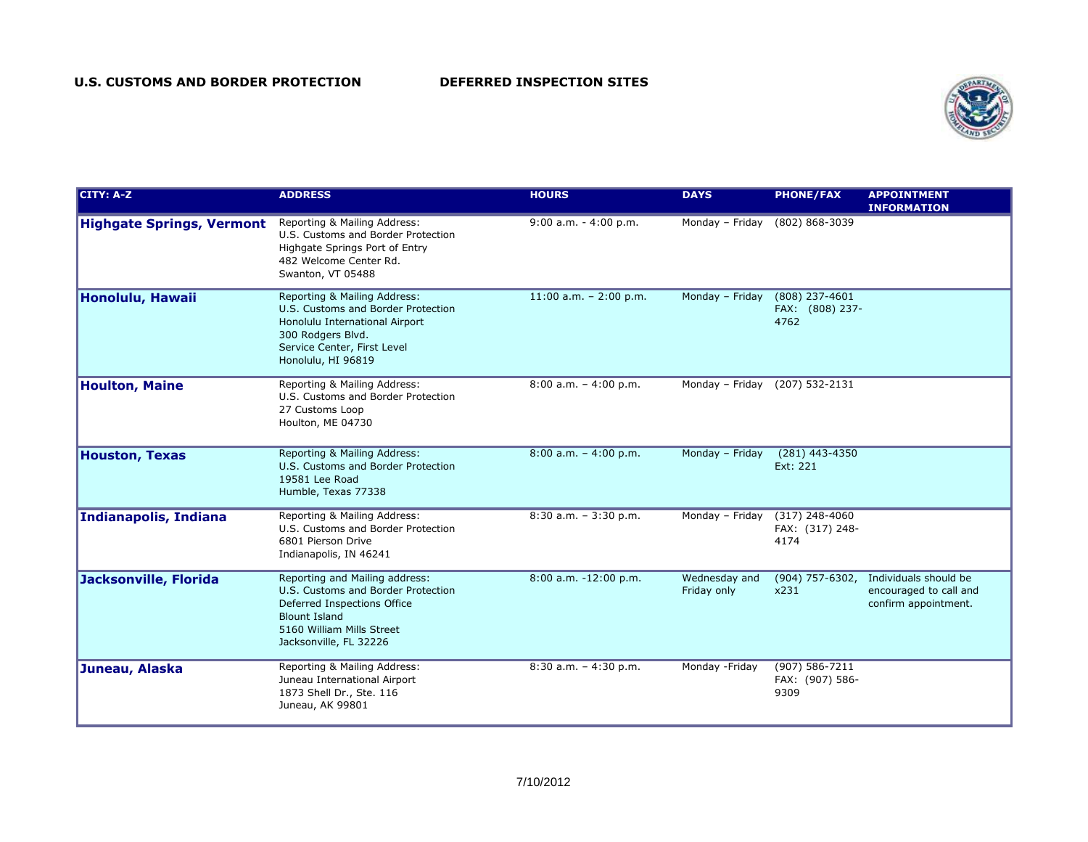

| <b>CITY: A-Z</b>                 | <b>ADDRESS</b>                                                                                                                                                                     | <b>HOURS</b>             | <b>DAYS</b>                  | <b>PHONE/FAX</b>                              | <b>APPOINTMENT</b><br><b>INFORMATION</b>                                |
|----------------------------------|------------------------------------------------------------------------------------------------------------------------------------------------------------------------------------|--------------------------|------------------------------|-----------------------------------------------|-------------------------------------------------------------------------|
| <b>Highgate Springs, Vermont</b> | Reporting & Mailing Address:<br>U.S. Customs and Border Protection<br>Highgate Springs Port of Entry<br>482 Welcome Center Rd.<br>Swanton, VT 05488                                | $9:00$ a.m. $-4:00$ p.m. | Monday - Friday              | (802) 868-3039                                |                                                                         |
| <b>Honolulu, Hawaii</b>          | Reporting & Mailing Address:<br>U.S. Customs and Border Protection<br>Honolulu International Airport<br>300 Rodgers Blvd.<br>Service Center, First Level<br>Honolulu, HI 96819     | 11:00 a.m. $- 2:00$ p.m. | Monday - Friday              | (808) 237-4601<br>FAX: (808) 237-<br>4762     |                                                                         |
| <b>Houlton, Maine</b>            | Reporting & Mailing Address:<br>U.S. Customs and Border Protection<br>27 Customs Loop<br>Houlton, ME 04730                                                                         | $8:00$ a.m. $-4:00$ p.m. |                              | Monday - Friday (207) 532-2131                |                                                                         |
| <b>Houston, Texas</b>            | Reporting & Mailing Address:<br>U.S. Customs and Border Protection<br>19581 Lee Road<br>Humble, Texas 77338                                                                        | $8:00$ a.m. $-4:00$ p.m. | Monday - Friday              | $(281)$ 443-4350<br>Ext: 221                  |                                                                         |
| Indianapolis, Indiana            | Reporting & Mailing Address:<br>U.S. Customs and Border Protection<br>6801 Pierson Drive<br>Indianapolis, IN 46241                                                                 | $8:30$ a.m. $-3:30$ p.m. | Monday - Friday              | $(317)$ 248-4060<br>FAX: (317) 248-<br>4174   |                                                                         |
| Jacksonville, Florida            | Reporting and Mailing address:<br>U.S. Customs and Border Protection<br>Deferred Inspections Office<br><b>Blount Island</b><br>5160 William Mills Street<br>Jacksonville, FL 32226 | 8:00 a.m. -12:00 p.m.    | Wednesday and<br>Friday only | (904) 757-6302,<br>x231                       | Individuals should be<br>encouraged to call and<br>confirm appointment. |
| Juneau, Alaska                   | Reporting & Mailing Address:<br>Juneau International Airport<br>1873 Shell Dr., Ste. 116<br>Juneau, AK 99801                                                                       | $8:30$ a.m. $-4:30$ p.m. | Monday - Friday              | $(907) 586 - 7211$<br>FAX: (907) 586-<br>9309 |                                                                         |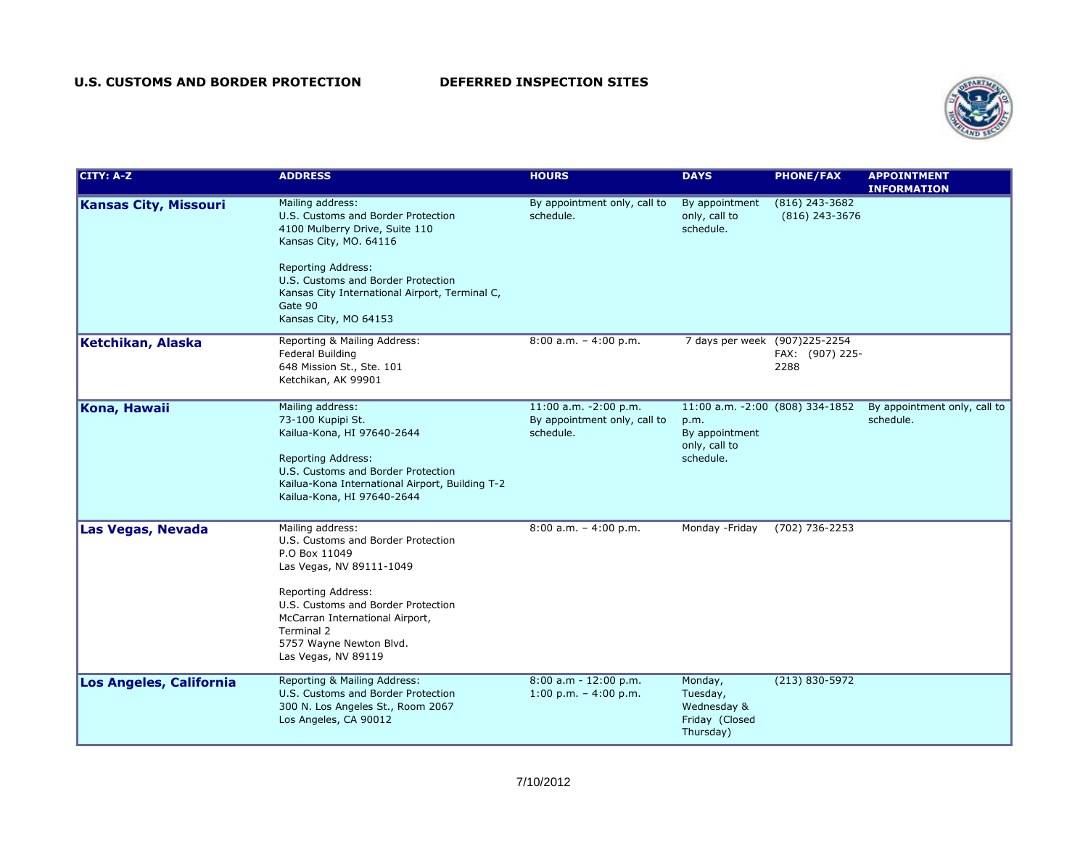

| <b>CITY: A-Z</b>             | <b>ADDRESS</b>                                                                                                                                                                                                                                                              | <b>HOURS</b>                                                       | <b>DAYS</b>                                                                             | <b>PHONE/FAX</b>                     | <b>APPOINTMENT</b><br><b>INFORMATION</b>  |
|------------------------------|-----------------------------------------------------------------------------------------------------------------------------------------------------------------------------------------------------------------------------------------------------------------------------|--------------------------------------------------------------------|-----------------------------------------------------------------------------------------|--------------------------------------|-------------------------------------------|
| <b>Kansas City, Missouri</b> | Mailing address:<br>U.S. Customs and Border Protection<br>4100 Mulberry Drive, Suite 110<br>Kansas City, MO. 64116<br><b>Reporting Address:</b><br>U.S. Customs and Border Protection<br>Kansas City International Airport, Terminal C,<br>Gate 90<br>Kansas City, MO 64153 | By appointment only, call to<br>schedule.                          | By appointment<br>only, call to<br>schedule.                                            | $(816)$ 243-3682<br>$(816)$ 243-3676 |                                           |
| Ketchikan, Alaska            | Reporting & Mailing Address:<br>Federal Building<br>648 Mission St., Ste. 101<br>Ketchikan, AK 99901                                                                                                                                                                        | $8:00$ a.m. $-4:00$ p.m.                                           | 7 days per week (907)225-2254                                                           | FAX: (907) 225-<br>2288              |                                           |
| Kona, Hawaii                 | Mailing address:<br>73-100 Kupipi St.<br>Kailua-Kona, HI 97640-2644<br><b>Reporting Address:</b><br>U.S. Customs and Border Protection<br>Kailua-Kona International Airport, Building T-2<br>Kailua-Kona, HI 97640-2644                                                     | 11:00 a.m. -2:00 p.m.<br>By appointment only, call to<br>schedule. | 11:00 a.m. -2:00 (808) 334-1852<br>p.m.<br>By appointment<br>only, call to<br>schedule. |                                      | By appointment only, call to<br>schedule. |
| Las Vegas, Nevada            | Mailing address:<br>U.S. Customs and Border Protection<br>P.O Box 11049<br>Las Vegas, NV 89111-1049<br><b>Reporting Address:</b><br>U.S. Customs and Border Protection<br>McCarran International Airport,<br>Terminal 2<br>5757 Wayne Newton Blvd.<br>Las Vegas, NV 89119   | $8:00$ a.m. $-4:00$ p.m.                                           | Monday - Friday                                                                         | (702) 736-2253                       |                                           |
| Los Angeles, California      | Reporting & Mailing Address:<br>U.S. Customs and Border Protection<br>300 N. Los Angeles St., Room 2067<br>Los Angeles, CA 90012                                                                                                                                            | 8:00 a.m - 12:00 p.m.<br>1:00 p.m. $-4:00$ p.m.                    | Monday,<br>Tuesday,<br>Wednesday &<br>Friday (Closed<br>Thursday)                       | (213) 830-5972                       |                                           |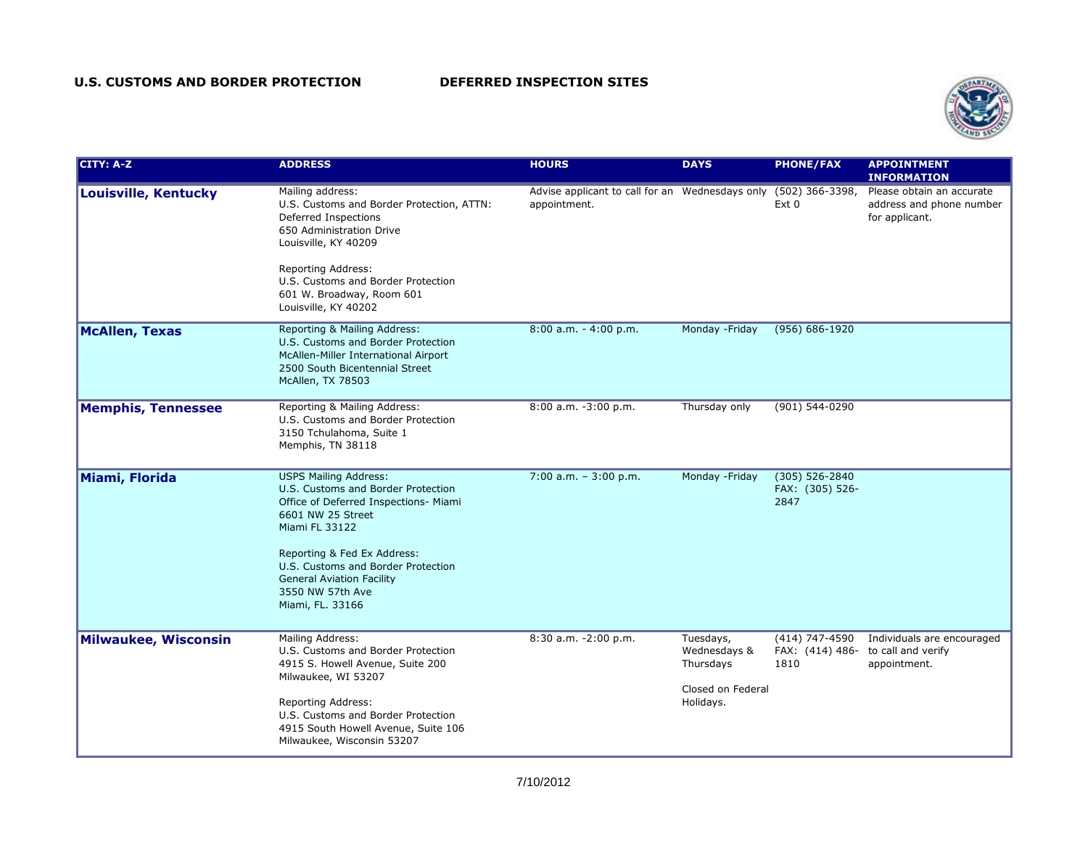

| <b>CITY: A-Z</b>            | <b>ADDRESS</b>                                                                                                                                                                                                                                              | <b>HOURS</b>                                                                    | <b>DAYS</b>                                                 | <b>PHONE/FAX</b>                          | <b>APPOINTMENT</b><br><b>INFORMATION</b>                                |
|-----------------------------|-------------------------------------------------------------------------------------------------------------------------------------------------------------------------------------------------------------------------------------------------------------|---------------------------------------------------------------------------------|-------------------------------------------------------------|-------------------------------------------|-------------------------------------------------------------------------|
| <b>Louisville, Kentucky</b> | Mailing address:<br>U.S. Customs and Border Protection, ATTN:<br>Deferred Inspections<br>650 Administration Drive<br>Louisville, KY 40209                                                                                                                   | Advise applicant to call for an Wednesdays only (502) 366-3398,<br>appointment. |                                                             | Ext 0                                     | Please obtain an accurate<br>address and phone number<br>for applicant. |
|                             | Reporting Address:<br>U.S. Customs and Border Protection<br>601 W. Broadway, Room 601<br>Louisville, KY 40202                                                                                                                                               |                                                                                 |                                                             |                                           |                                                                         |
| <b>McAllen, Texas</b>       | Reporting & Mailing Address:<br>U.S. Customs and Border Protection<br>McAllen-Miller International Airport<br>2500 South Bicentennial Street<br>McAllen, TX 78503                                                                                           | $8:00$ a.m. $-4:00$ p.m.                                                        | Monday - Friday                                             | $(956) 686 - 1920$                        |                                                                         |
| <b>Memphis, Tennessee</b>   | Reporting & Mailing Address:<br>U.S. Customs and Border Protection<br>3150 Tchulahoma, Suite 1<br>Memphis, TN 38118                                                                                                                                         | 8:00 a.m. -3:00 p.m.                                                            | Thursday only                                               | (901) 544-0290                            |                                                                         |
| Miami, Florida              | <b>USPS Mailing Address:</b><br>U.S. Customs and Border Protection<br>Office of Deferred Inspections- Miami<br>6601 NW 25 Street<br>Miami FL 33122<br>Reporting & Fed Ex Address:<br>U.S. Customs and Border Protection<br><b>General Aviation Facility</b> | 7:00 a.m. $-3:00$ p.m.                                                          | Monday - Friday                                             | (305) 526-2840<br>FAX: (305) 526-<br>2847 |                                                                         |
|                             | 3550 NW 57th Ave<br>Miami, FL. 33166                                                                                                                                                                                                                        |                                                                                 |                                                             |                                           |                                                                         |
| <b>Milwaukee, Wisconsin</b> | Mailing Address:<br>U.S. Customs and Border Protection<br>4915 S. Howell Avenue, Suite 200<br>Milwaukee, WI 53207                                                                                                                                           | 8:30 a.m. -2:00 p.m.                                                            | Tuesdays,<br>Wednesdays &<br>Thursdays<br>Closed on Federal | (414) 747-4590<br>FAX: (414) 486-<br>1810 | Individuals are encouraged<br>to call and verify<br>appointment.        |
|                             | <b>Reporting Address:</b><br>U.S. Customs and Border Protection<br>4915 South Howell Avenue, Suite 106<br>Milwaukee, Wisconsin 53207                                                                                                                        |                                                                                 | Holidays.                                                   |                                           |                                                                         |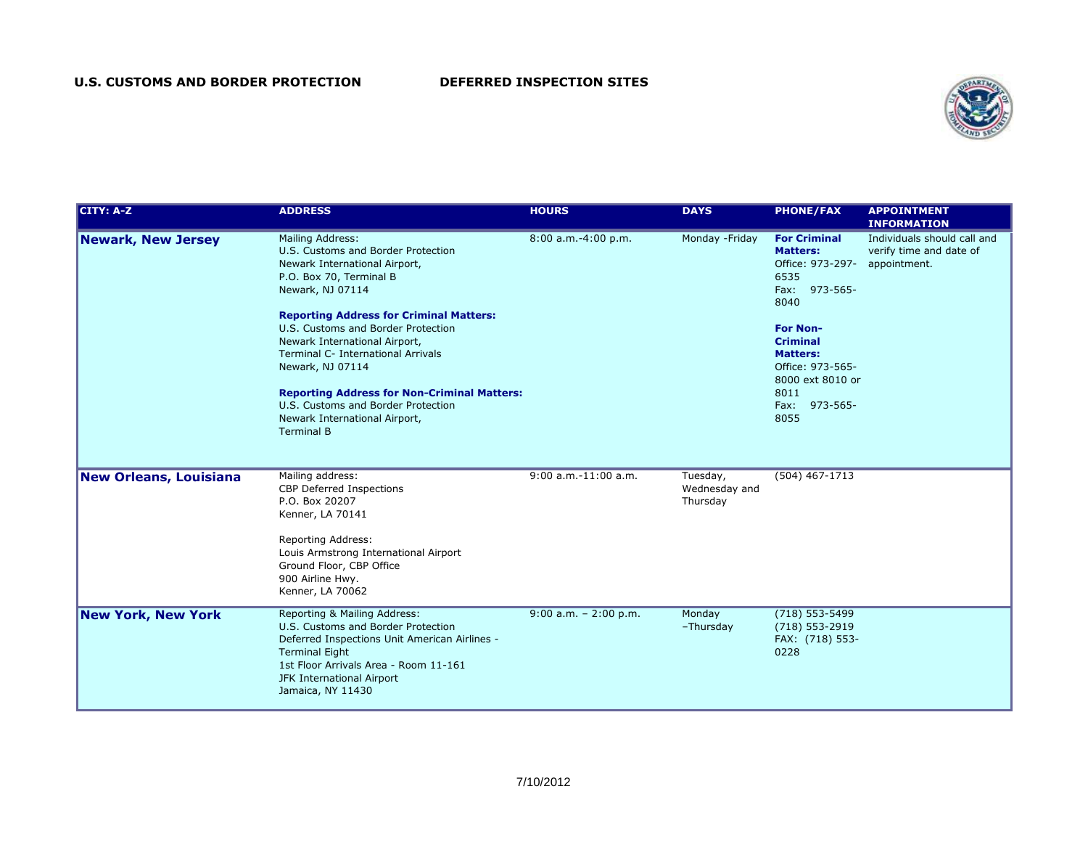

| <b>CITY: A-Z</b>              | <b>ADDRESS</b>                                                                                                                                                                                                                                                                                                                                                                                                                                                              | <b>HOURS</b>             | <b>DAYS</b>                           | <b>PHONE/FAX</b>                                                                                                                                                                                                                 | <b>APPOINTMENT</b><br><b>INFORMATION</b>                               |
|-------------------------------|-----------------------------------------------------------------------------------------------------------------------------------------------------------------------------------------------------------------------------------------------------------------------------------------------------------------------------------------------------------------------------------------------------------------------------------------------------------------------------|--------------------------|---------------------------------------|----------------------------------------------------------------------------------------------------------------------------------------------------------------------------------------------------------------------------------|------------------------------------------------------------------------|
| <b>Newark, New Jersey</b>     | Mailing Address:<br>U.S. Customs and Border Protection<br>Newark International Airport,<br>P.O. Box 70, Terminal B<br>Newark, NJ 07114<br><b>Reporting Address for Criminal Matters:</b><br>U.S. Customs and Border Protection<br>Newark International Airport,<br>Terminal C- International Arrivals<br>Newark, NJ 07114<br><b>Reporting Address for Non-Criminal Matters:</b><br>U.S. Customs and Border Protection<br>Newark International Airport,<br><b>Terminal B</b> | 8:00 a.m.-4:00 p.m.      | Monday - Friday                       | <b>For Criminal</b><br><b>Matters:</b><br>Office: 973-297-<br>6535<br>Fax: 973-565-<br>8040<br><b>For Non-</b><br><b>Criminal</b><br><b>Matters:</b><br>Office: 973-565-<br>8000 ext 8010 or<br>8011<br>973-565-<br>Fax:<br>8055 | Individuals should call and<br>verify time and date of<br>appointment. |
| <b>New Orleans, Louisiana</b> | Mailing address:<br>CBP Deferred Inspections<br>P.O. Box 20207<br>Kenner, LA 70141<br><b>Reporting Address:</b><br>Louis Armstrong International Airport<br>Ground Floor, CBP Office<br>900 Airline Hwy.<br>Kenner, LA 70062                                                                                                                                                                                                                                                | 9:00 a.m.-11:00 a.m.     | Tuesday,<br>Wednesday and<br>Thursday | $(504)$ 467-1713                                                                                                                                                                                                                 |                                                                        |
| <b>New York, New York</b>     | Reporting & Mailing Address:<br>U.S. Customs and Border Protection<br>Deferred Inspections Unit American Airlines -<br><b>Terminal Eight</b><br>1st Floor Arrivals Area - Room 11-161<br>JFK International Airport<br>Jamaica, NY 11430                                                                                                                                                                                                                                     | $9:00$ a.m. $-2:00$ p.m. | Monday<br>-Thursday                   | (718) 553-5499<br>(718) 553-2919<br>FAX: (718) 553-<br>0228                                                                                                                                                                      |                                                                        |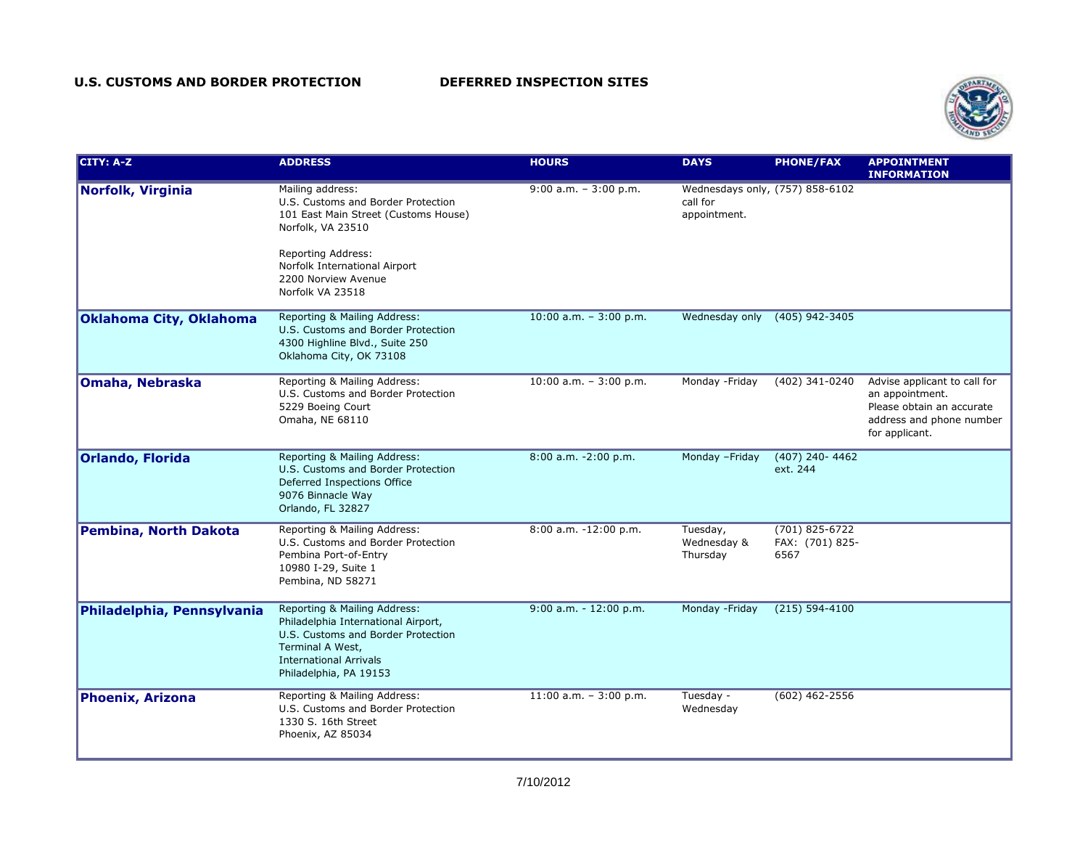

| <b>CITY: A-Z</b>             | <b>ADDRESS</b>                                                                                                                                                                                                               | <b>HOURS</b>               | <b>DAYS</b>                         | <b>PHONE/FAX</b>                          | <b>APPOINTMENT</b><br><b>INFORMATION</b>                                                                                   |
|------------------------------|------------------------------------------------------------------------------------------------------------------------------------------------------------------------------------------------------------------------------|----------------------------|-------------------------------------|-------------------------------------------|----------------------------------------------------------------------------------------------------------------------------|
| Norfolk, Virginia            | Mailing address:<br>U.S. Customs and Border Protection<br>101 East Main Street (Customs House)<br>Norfolk, VA 23510<br><b>Reporting Address:</b><br>Norfolk International Airport<br>2200 Norview Avenue<br>Norfolk VA 23518 | $9:00$ a.m. - $3:00$ p.m.  | call for<br>appointment.            | Wednesdays only, (757) 858-6102           |                                                                                                                            |
| Oklahoma City, Oklahoma      | Reporting & Mailing Address:<br>U.S. Customs and Border Protection<br>4300 Highline Blvd., Suite 250<br>Oklahoma City, OK 73108                                                                                              | 10:00 a.m. $-3:00$ p.m.    | Wednesday only                      | $(405)$ 942-3405                          |                                                                                                                            |
| Omaha, Nebraska              | Reporting & Mailing Address:<br>U.S. Customs and Border Protection<br>5229 Boeing Court<br>Omaha, NE 68110                                                                                                                   | $10:00$ a.m. $-3:00$ p.m.  | Monday - Friday                     | (402) 341-0240                            | Advise applicant to call for<br>an appointment.<br>Please obtain an accurate<br>address and phone number<br>for applicant. |
| <b>Orlando, Florida</b>      | Reporting & Mailing Address:<br>U.S. Customs and Border Protection<br>Deferred Inspections Office<br>9076 Binnacle Way<br>Orlando, FL 32827                                                                                  | 8:00 a.m. -2:00 p.m.       | Monday - Friday                     | $(407)$ 240-4462<br>ext. 244              |                                                                                                                            |
| <b>Pembina, North Dakota</b> | Reporting & Mailing Address:<br>U.S. Customs and Border Protection<br>Pembina Port-of-Entry<br>10980 I-29, Suite 1<br>Pembina, ND 58271                                                                                      | 8:00 a.m. -12:00 p.m.      | Tuesday,<br>Wednesday &<br>Thursday | (701) 825-6722<br>FAX: (701) 825-<br>6567 |                                                                                                                            |
| Philadelphia, Pennsylvania   | Reporting & Mailing Address:<br>Philadelphia International Airport,<br>U.S. Customs and Border Protection<br>Terminal A West,<br><b>International Arrivals</b><br>Philadelphia, PA 19153                                     | $9:00$ a.m. - $12:00$ p.m. | Monday - Friday                     | $(215) 594 - 4100$                        |                                                                                                                            |
| <b>Phoenix, Arizona</b>      | Reporting & Mailing Address:<br>U.S. Customs and Border Protection<br>1330 S. 16th Street<br>Phoenix, AZ 85034                                                                                                               | 11:00 a.m. $-3:00$ p.m.    | Tuesday -<br>Wednesday              | $(602)$ 462-2556                          |                                                                                                                            |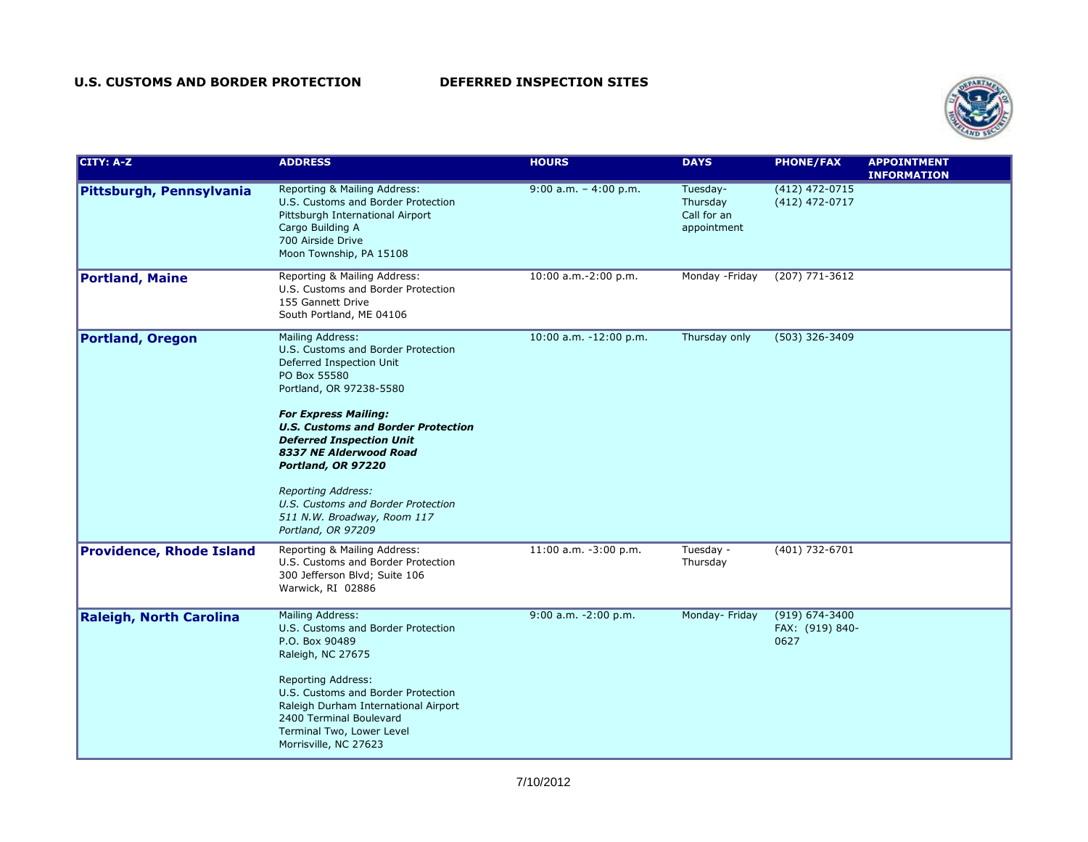

| <b>CITY: A-Z</b>                | <b>ADDRESS</b>                                                                                                                                                                                                                                                                                                                                                                                                       | <b>HOURS</b>             | <b>DAYS</b>                                        | <b>PHONE/FAX</b>                              | <b>APPOINTMENT</b><br><b>INFORMATION</b> |
|---------------------------------|----------------------------------------------------------------------------------------------------------------------------------------------------------------------------------------------------------------------------------------------------------------------------------------------------------------------------------------------------------------------------------------------------------------------|--------------------------|----------------------------------------------------|-----------------------------------------------|------------------------------------------|
| Pittsburgh, Pennsylvania        | Reporting & Mailing Address:<br>U.S. Customs and Border Protection<br>Pittsburgh International Airport<br>Cargo Building A<br>700 Airside Drive<br>Moon Township, PA 15108                                                                                                                                                                                                                                           | $9:00$ a.m. $-4:00$ p.m. | Tuesday-<br>Thursday<br>Call for an<br>appointment | $(412)$ 472-0715<br>(412) 472-0717            |                                          |
| <b>Portland, Maine</b>          | Reporting & Mailing Address:<br>U.S. Customs and Border Protection<br>155 Gannett Drive<br>South Portland, ME 04106                                                                                                                                                                                                                                                                                                  | 10:00 a.m.-2:00 p.m.     | Monday - Friday                                    | $(207)$ 771-3612                              |                                          |
| <b>Portland, Oregon</b>         | Mailing Address:<br>U.S. Customs and Border Protection<br>Deferred Inspection Unit<br>PO Box 55580<br>Portland, OR 97238-5580<br><b>For Express Mailing:</b><br><b>U.S. Customs and Border Protection</b><br><b>Deferred Inspection Unit</b><br>8337 NE Alderwood Road<br>Portland, OR 97220<br><b>Reporting Address:</b><br>U.S. Customs and Border Protection<br>511 N.W. Broadway, Room 117<br>Portland, OR 97209 | 10:00 a.m. -12:00 p.m.   | Thursday only                                      | $(503)$ 326-3409                              |                                          |
| <b>Providence, Rhode Island</b> | Reporting & Mailing Address:<br>U.S. Customs and Border Protection<br>300 Jefferson Blvd; Suite 106<br>Warwick, RI 02886                                                                                                                                                                                                                                                                                             | 11:00 a.m. -3:00 p.m.    | Tuesday -<br>Thursday                              | (401) 732-6701                                |                                          |
| <b>Raleigh, North Carolina</b>  | Mailing Address:<br>U.S. Customs and Border Protection<br>P.O. Box 90489<br>Raleigh, NC 27675<br><b>Reporting Address:</b><br>U.S. Customs and Border Protection<br>Raleigh Durham International Airport<br>2400 Terminal Boulevard<br>Terminal Two, Lower Level<br>Morrisville, NC 27623                                                                                                                            | 9:00 a.m. -2:00 p.m.     | Monday- Friday                                     | $(919) 674 - 3400$<br>FAX: (919) 840-<br>0627 |                                          |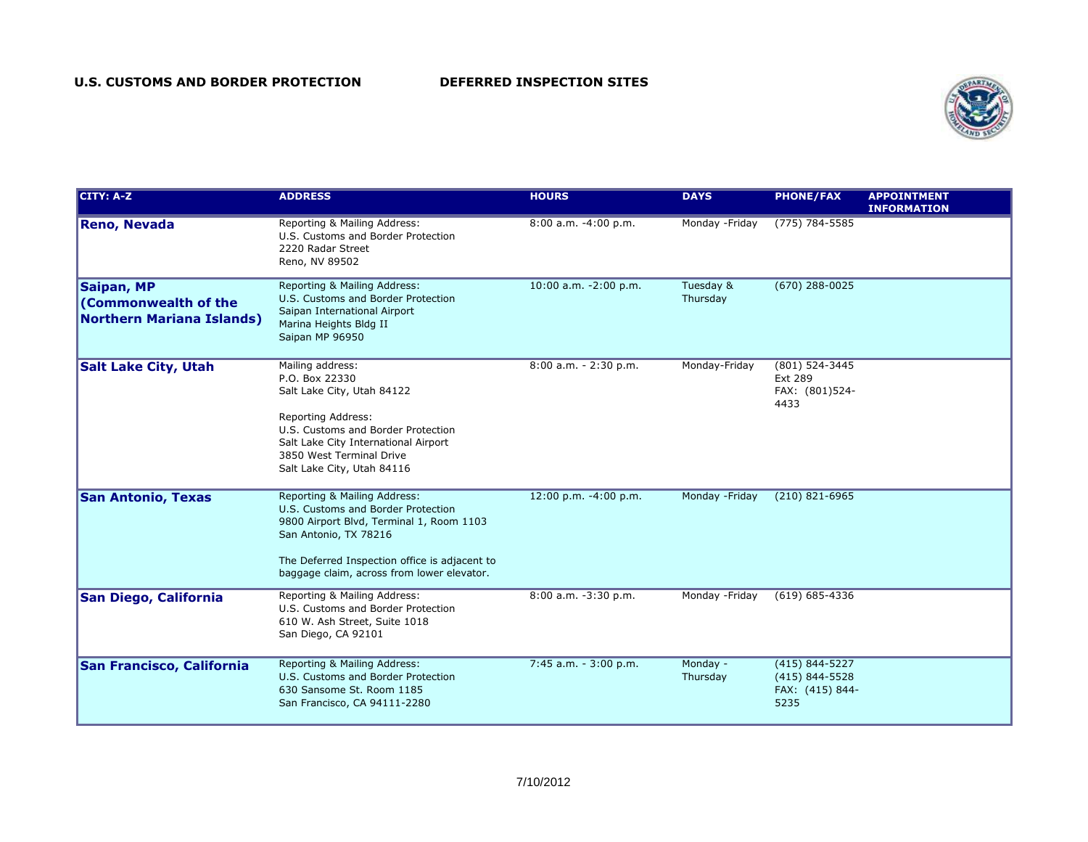

| <b>CITY: A-Z</b>                                                       | <b>ADDRESS</b>                                                                                                                                                                                                                         | <b>HOURS</b>          | <b>DAYS</b>           | <b>PHONE/FAX</b>                                                    | <b>APPOINTMENT</b><br><b>INFORMATION</b> |
|------------------------------------------------------------------------|----------------------------------------------------------------------------------------------------------------------------------------------------------------------------------------------------------------------------------------|-----------------------|-----------------------|---------------------------------------------------------------------|------------------------------------------|
| <b>Reno, Nevada</b>                                                    | Reporting & Mailing Address:<br>U.S. Customs and Border Protection<br>2220 Radar Street<br>Reno, NV 89502                                                                                                                              | 8:00 a.m. -4:00 p.m.  | Monday - Friday       | $(775) 784 - 5585$                                                  |                                          |
| Saipan, MP<br>(Commonwealth of the<br><b>Northern Mariana Islands)</b> | Reporting & Mailing Address:<br>U.S. Customs and Border Protection<br>Saipan International Airport<br>Marina Heights Bldg II<br>Saipan MP 96950                                                                                        | 10:00 a.m. -2:00 p.m. | Tuesday &<br>Thursday | (670) 288-0025                                                      |                                          |
| <b>Salt Lake City, Utah</b>                                            | Mailing address:<br>P.O. Box 22330<br>Salt Lake City, Utah 84122<br><b>Reporting Address:</b><br>U.S. Customs and Border Protection<br>Salt Lake City International Airport<br>3850 West Terminal Drive<br>Salt Lake City, Utah 84116  | 8:00 a.m. - 2:30 p.m. | Monday-Friday         | (801) 524-3445<br>Ext 289<br>FAX: (801)524-<br>4433                 |                                          |
| <b>San Antonio, Texas</b>                                              | Reporting & Mailing Address:<br>U.S. Customs and Border Protection<br>9800 Airport Blvd, Terminal 1, Room 1103<br>San Antonio, TX 78216<br>The Deferred Inspection office is adjacent to<br>baggage claim, across from lower elevator. | 12:00 p.m. -4:00 p.m. | Monday - Friday       | $(210)$ 821-6965                                                    |                                          |
| <b>San Diego, California</b>                                           | Reporting & Mailing Address:<br>U.S. Customs and Border Protection<br>610 W. Ash Street, Suite 1018<br>San Diego, CA 92101                                                                                                             | 8:00 a.m. -3:30 p.m.  | Monday - Friday       | $(619) 685 - 4336$                                                  |                                          |
| San Francisco, California                                              | Reporting & Mailing Address:<br>U.S. Customs and Border Protection<br>630 Sansome St. Room 1185<br>San Francisco, CA 94111-2280                                                                                                        | 7:45 a.m. - 3:00 p.m. | Monday -<br>Thursday  | $(415) 844 - 5227$<br>$(415) 844 - 5528$<br>FAX: (415) 844-<br>5235 |                                          |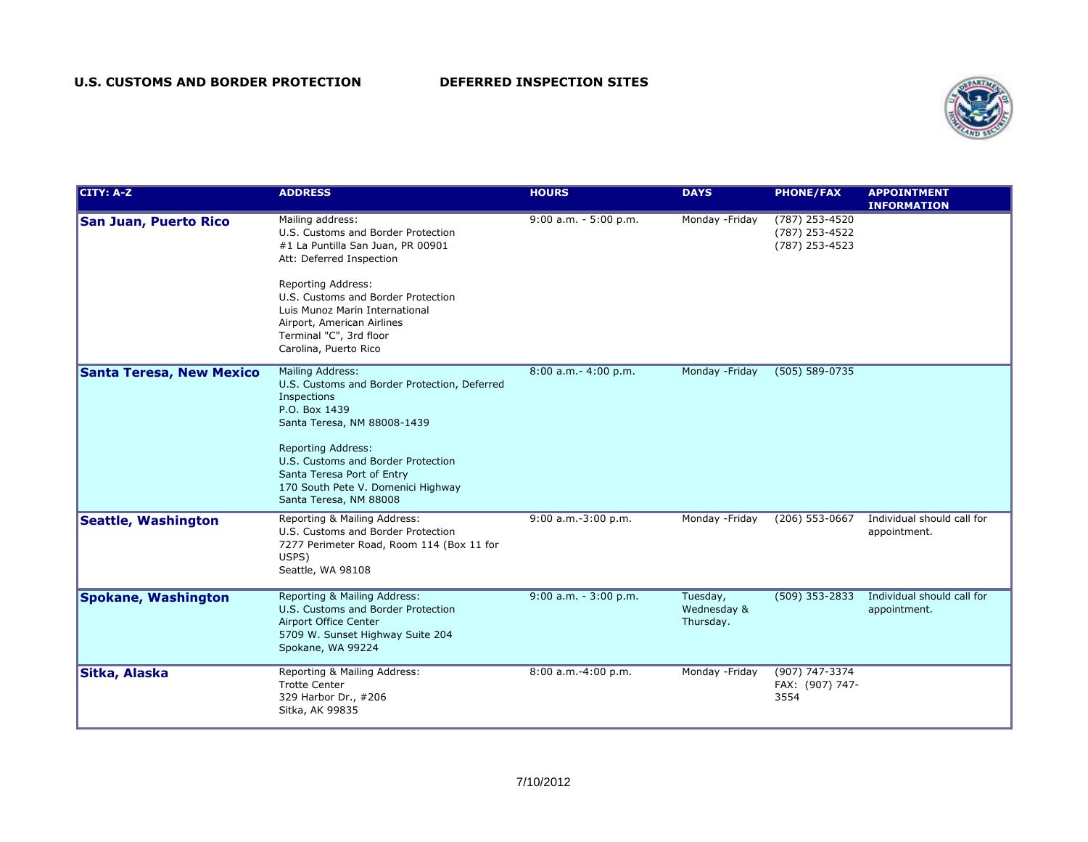

| <b>CITY: A-Z</b>                | <b>ADDRESS</b>                                                                                                                                                                                                                                                                                   | <b>HOURS</b>              | <b>DAYS</b>                          | <b>PHONE/FAX</b>                                   | <b>APPOINTMENT</b><br><b>INFORMATION</b>   |
|---------------------------------|--------------------------------------------------------------------------------------------------------------------------------------------------------------------------------------------------------------------------------------------------------------------------------------------------|---------------------------|--------------------------------------|----------------------------------------------------|--------------------------------------------|
| <b>San Juan, Puerto Rico</b>    | Mailing address:<br>U.S. Customs and Border Protection<br>#1 La Puntilla San Juan, PR 00901<br>Att: Deferred Inspection                                                                                                                                                                          | $9:00$ a.m. - $5:00$ p.m. | Monday - Friday                      | (787) 253-4520<br>(787) 253-4522<br>(787) 253-4523 |                                            |
|                                 | <b>Reporting Address:</b><br>U.S. Customs and Border Protection<br>Luis Munoz Marin International<br>Airport, American Airlines<br>Terminal "C", 3rd floor<br>Carolina, Puerto Rico                                                                                                              |                           |                                      |                                                    |                                            |
| <b>Santa Teresa, New Mexico</b> | Mailing Address:<br>U.S. Customs and Border Protection, Deferred<br>Inspections<br>P.O. Box 1439<br>Santa Teresa, NM 88008-1439<br><b>Reporting Address:</b><br>U.S. Customs and Border Protection<br>Santa Teresa Port of Entry<br>170 South Pete V. Domenici Highway<br>Santa Teresa, NM 88008 | 8:00 a.m.- 4:00 p.m.      | Monday - Friday                      | $(505) 589 - 0735$                                 |                                            |
| <b>Seattle, Washington</b>      | Reporting & Mailing Address:<br>U.S. Customs and Border Protection<br>7277 Perimeter Road, Room 114 (Box 11 for<br>USPS)<br>Seattle, WA 98108                                                                                                                                                    | 9:00 a.m.-3:00 p.m.       | Monday - Friday                      | $(206)$ 553-0667                                   | Individual should call for<br>appointment. |
| <b>Spokane, Washington</b>      | Reporting & Mailing Address:<br>U.S. Customs and Border Protection<br>Airport Office Center<br>5709 W. Sunset Highway Suite 204<br>Spokane, WA 99224                                                                                                                                             | $9:00$ a.m. - $3:00$ p.m. | Tuesday,<br>Wednesday &<br>Thursday. | $(509)$ 353-2833                                   | Individual should call for<br>appointment. |
| Sitka, Alaska                   | Reporting & Mailing Address:<br><b>Trotte Center</b><br>329 Harbor Dr., #206<br>Sitka, AK 99835                                                                                                                                                                                                  | 8:00 a.m.-4:00 p.m.       | Monday - Friday                      | (907) 747-3374<br>FAX: (907) 747-<br>3554          |                                            |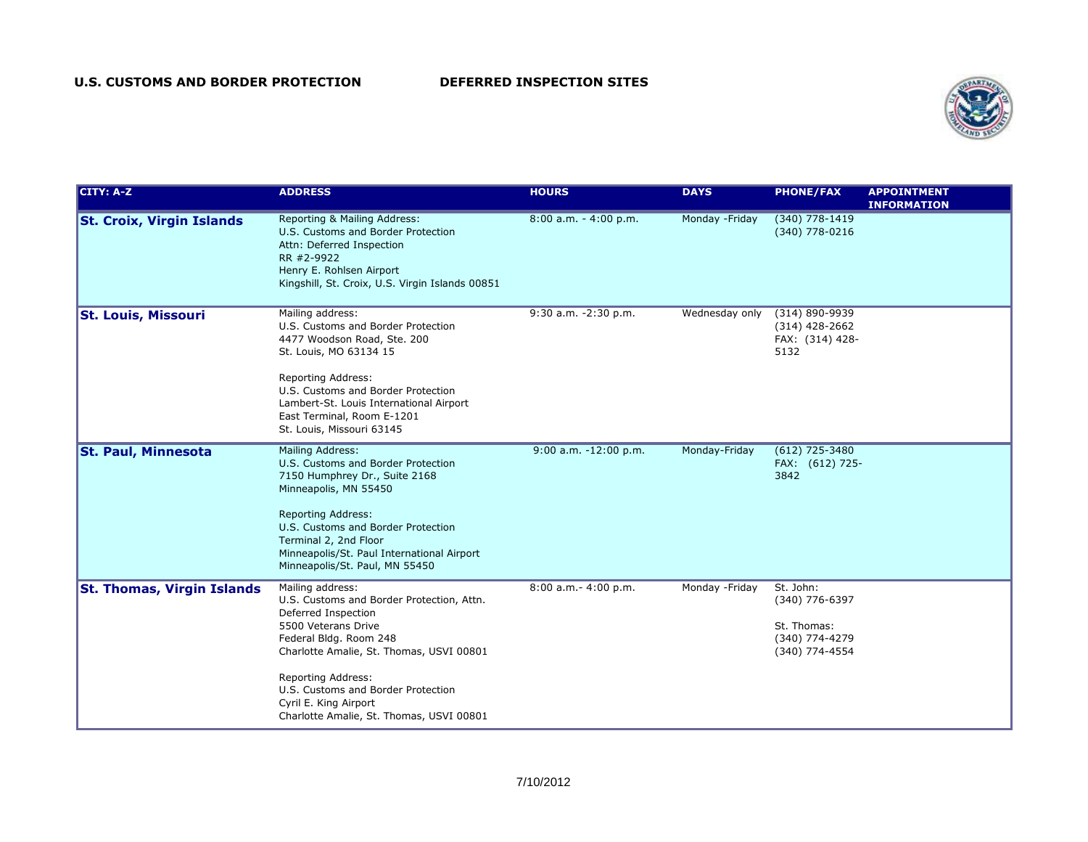

| <b>CITY: A-Z</b>                  | <b>ADDRESS</b>                                                                                                                                                                                                                                                                                                            | <b>HOURS</b>            | <b>DAYS</b>     | <b>PHONE/FAX</b>                                                               | <b>APPOINTMENT</b><br><b>INFORMATION</b> |
|-----------------------------------|---------------------------------------------------------------------------------------------------------------------------------------------------------------------------------------------------------------------------------------------------------------------------------------------------------------------------|-------------------------|-----------------|--------------------------------------------------------------------------------|------------------------------------------|
| <b>St. Croix, Virgin Islands</b>  | Reporting & Mailing Address:<br>U.S. Customs and Border Protection<br>Attn: Deferred Inspection<br>RR #2-9922<br>Henry E. Rohlsen Airport<br>Kingshill, St. Croix, U.S. Virgin Islands 00851                                                                                                                              | $8:00$ a.m. - 4:00 p.m. | Monday - Friday | (340) 778-1419<br>(340) 778-0216                                               |                                          |
| <b>St. Louis, Missouri</b>        | Mailing address:<br>U.S. Customs and Border Protection<br>4477 Woodson Road, Ste. 200<br>St. Louis, MO 63134 15<br>Reporting Address:<br>U.S. Customs and Border Protection<br>Lambert-St. Louis International Airport<br>East Terminal, Room E-1201<br>St. Louis, Missouri 63145                                         | 9:30 a.m. -2:30 p.m.    | Wednesday only  | (314) 890-9939<br>$(314)$ 428-2662<br>FAX: (314) 428-<br>5132                  |                                          |
| <b>St. Paul, Minnesota</b>        | Mailing Address:<br>U.S. Customs and Border Protection<br>7150 Humphrey Dr., Suite 2168<br>Minneapolis, MN 55450<br><b>Reporting Address:</b><br>U.S. Customs and Border Protection<br>Terminal 2, 2nd Floor<br>Minneapolis/St. Paul International Airport<br>Minneapolis/St. Paul, MN 55450                              | 9:00 a.m. -12:00 p.m.   | Monday-Friday   | $(612)$ 725-3480<br>FAX: (612) 725-<br>3842                                    |                                          |
| <b>St. Thomas, Virgin Islands</b> | Mailing address:<br>U.S. Customs and Border Protection, Attn.<br>Deferred Inspection<br>5500 Veterans Drive<br>Federal Bldg. Room 248<br>Charlotte Amalie, St. Thomas, USVI 00801<br><b>Reporting Address:</b><br>U.S. Customs and Border Protection<br>Cyril E. King Airport<br>Charlotte Amalie, St. Thomas, USVI 00801 | 8:00 a.m.- 4:00 p.m.    | Monday - Friday | St. John:<br>(340) 776-6397<br>St. Thomas:<br>(340) 774-4279<br>(340) 774-4554 |                                          |